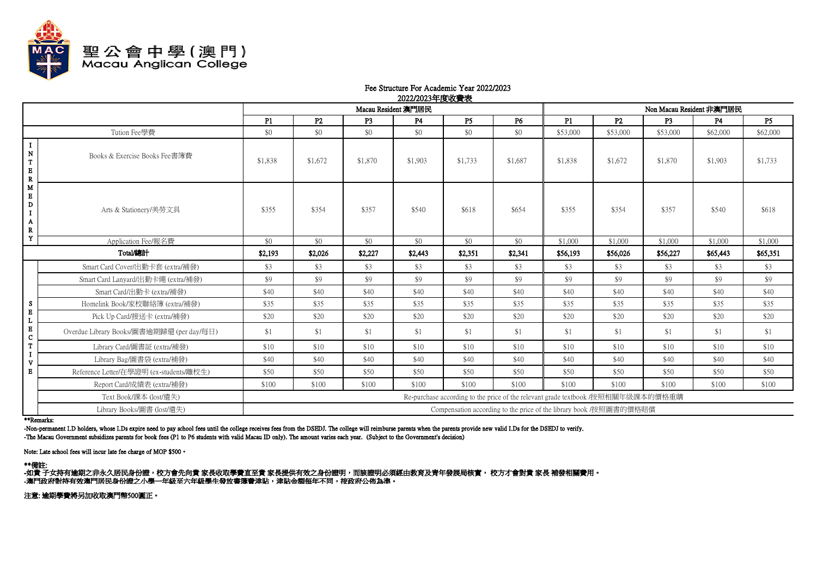

## Fee Structure For Academic Year 2022/2023 2022/2023年度收費表

|                                                                                |                                           | ------- --------<br>Macau Resident 澳門居民                                          |                |                |                |                | Non Macau Resident 非澳門居民 |          |          |                |          |           |
|--------------------------------------------------------------------------------|-------------------------------------------|----------------------------------------------------------------------------------|----------------|----------------|----------------|----------------|--------------------------|----------|----------|----------------|----------|-----------|
|                                                                                |                                           | P1                                                                               | P <sub>2</sub> | P <sub>3</sub> | P <sub>4</sub> | P <sub>5</sub> | <b>P6</b>                | P1       | P2       | P <sub>3</sub> | P4       | <b>P5</b> |
|                                                                                | Tution Fee學費                              | \$0                                                                              | \$0            | \$0            | \$0            | \$0            | \$0                      | \$53,000 | \$53,000 | \$53,000       | \$62,000 | \$62,000  |
| $\bf{I}$<br>${\bf N}$<br>$\mathbf T$<br>$\mathbf E$<br>$\overline{\mathbf{R}}$ | Books & Exercise Books Fee書簿費             | \$1,838                                                                          | \$1,672        | \$1,870        | \$1,903        | \$1,733        | \$1,687                  | \$1,838  | \$1,672  | \$1,870        | \$1,903  | \$1,733   |
| M<br>$\bf E$<br>D<br>$\mathbf I$<br>Α<br>${\bf R}$                             | Arts & Stationery/美勞文具                    | \$355                                                                            | \$354          | \$357          | \$540          | \$618          | \$654                    | \$355    | \$354    | \$357          | \$540    | \$618     |
| Y                                                                              | Application Fee/報名費                       | \$0                                                                              | \$0            | \$0            | \$0            | \$0            | \$0                      | \$1,000  | \$1,000  | \$1,000        | \$1,000  | \$1,000   |
|                                                                                | Total/總計                                  | \$2,193                                                                          | \$2,026        | \$2,227        | \$2,443        | \$2.351        | \$2,341                  | \$56,193 | \$56,026 | \$56,227       | \$65,443 | \$65,351  |
|                                                                                | Smart Card Cover/出勤卡套 (extra/補發)          | \$3                                                                              | \$3            | \$3            | \$3            | \$3            | \$3                      | \$3      | \$3      | \$3            | \$3      | \$3       |
|                                                                                | Smart Card Lanyard/出勤卡繩 (extra/補發)        | \$9                                                                              | \$9            | \$9            | \$9            | \$9            | \$9                      | \$9      | \$9      | \$9            | \$9      | \$9       |
|                                                                                | Smart Card/出勤卡 (extra/補發)                 | \$40                                                                             | \$40           | \$40           | \$40           | \$40           | \$40                     | \$40     | \$40     | \$40           | \$40     | \$40      |
| S                                                                              | Homelink Book/家校聯絡簿 (extra/補發)            | \$35                                                                             | \$35           | \$35           | \$35           | \$35           | \$35                     | \$35     | \$35     | \$35           | \$35     | \$35      |
| $\bf E$                                                                        | Pick Up Card/接送卡 (extra/補發)               | \$20                                                                             | \$20           | \$20           | \$20           | \$20           | \$20                     | \$20     | \$20     | \$20           | \$20     | \$20      |
| $\bf{E}$<br>$\mathbf C$                                                        | Overdue Library Books/圖書逾期歸還 (per day/每日) | \$1                                                                              | \$1            | \$1            | \$1            | \$1            | \$1                      | \$1      | \$1      | \$1            | \$1      | \$1       |
| T                                                                              | Library Card/圖書証 (extra/補發)               | \$10                                                                             | \$10           | \$10           | \$10           | \$10           | \$10                     | \$10     | \$10     | \$10           | \$10     | \$10      |
| $\mathbf{v}$                                                                   | Library Bag/圖書袋 (extra/補發)                | \$40                                                                             | \$40           | \$40           | \$40           | \$40           | \$40                     | \$40     | \$40     | \$40           | \$40     | \$40      |
| $\bf{E}$                                                                       | Reference Letter/在學證明 (ex-students/離校生)   | \$50                                                                             | \$50           | \$50           | \$50           | \$50           | \$50                     | \$50     | \$50     | \$50           | \$50     | \$50      |
|                                                                                | Report Card/成績表 (extra/補發)                | \$100                                                                            | \$100          | \$100          | \$100          | \$100          | \$100                    | \$100    | \$100    | \$100          | \$100    | \$100     |
|                                                                                | Text Book/課本 (lost/遺失)                    | Re-purchase according to the price of the relevant grade textbook /按照相關年級課本的價格重購 |                |                |                |                |                          |          |          |                |          |           |
|                                                                                | Library Books/圖書 (lost/遺失)                | Compensation according to the price of the library book /按照圖書的價格賠償               |                |                |                |                |                          |          |          |                |          |           |

\*\*Remarks:

-Non-permanent I.D holders, whose I.Ds expire need to pay school fees until the college receives fees from the DSEDJ. The college will reimburse parents when the parents provide new valid I.Ds for the DSEDJ to verify. -The Macau Government subsidizes parents for book fees (P1 to P6 students with valid Macau ID only). The amount varies each year. (Subject to the Government's decision)

Note: Late school fees will incur late fee charge of MOP \$500。

\*\*備註:<br>-如貴 子女持有逾期之非永久居民身份證,校方會先向貴 家長收取學費直至貴 家長提供有效之身份證明,而該證明必須經由教育及青年發展局核實, 校方才會對貴 家長 補發相關費用。 -澳門政府對特有效澳門居民身份證之小學一年級至六年級學生發放書簿書津貼,津貼金額每年不同,按政府公佈為準。

注意: 逾期學費將另加收取澳門幣500圓正。